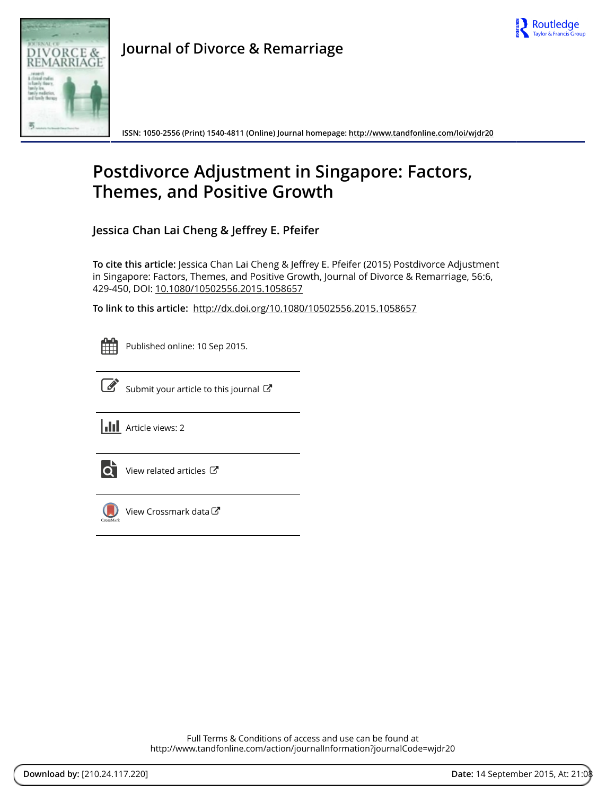



**Journal of Divorce & Remarriage**

**ISSN: 1050-2556 (Print) 1540-4811 (Online) Journal homepage:<http://www.tandfonline.com/loi/wjdr20>**

# **Postdivorce Adjustment in Singapore: Factors, Themes, and Positive Growth**

**Jessica Chan Lai Cheng & Jeffrey E. Pfeifer**

**To cite this article:** Jessica Chan Lai Cheng & Jeffrey E. Pfeifer (2015) Postdivorce Adjustment in Singapore: Factors, Themes, and Positive Growth, Journal of Divorce & Remarriage, 56:6, 429-450, DOI: [10.1080/10502556.2015.1058657](http://www.tandfonline.com/action/showCitFormats?doi=10.1080/10502556.2015.1058657)

**To link to this article:** <http://dx.doi.org/10.1080/10502556.2015.1058657>



Published online: 10 Sep 2015.



 $\overline{\mathscr{L}}$  [Submit your article to this journal](http://www.tandfonline.com/action/authorSubmission?journalCode=wjdr20&page=instructions)  $\mathbb{Z}$ 





[View related articles](http://www.tandfonline.com/doi/mlt/10.1080/10502556.2015.1058657) C



[View Crossmark data](http://crossmark.crossref.org/dialog/?doi=10.1080/10502556.2015.1058657&domain=pdf&date_stamp=2015-09-10)

Full Terms & Conditions of access and use can be found at <http://www.tandfonline.com/action/journalInformation?journalCode=wjdr20>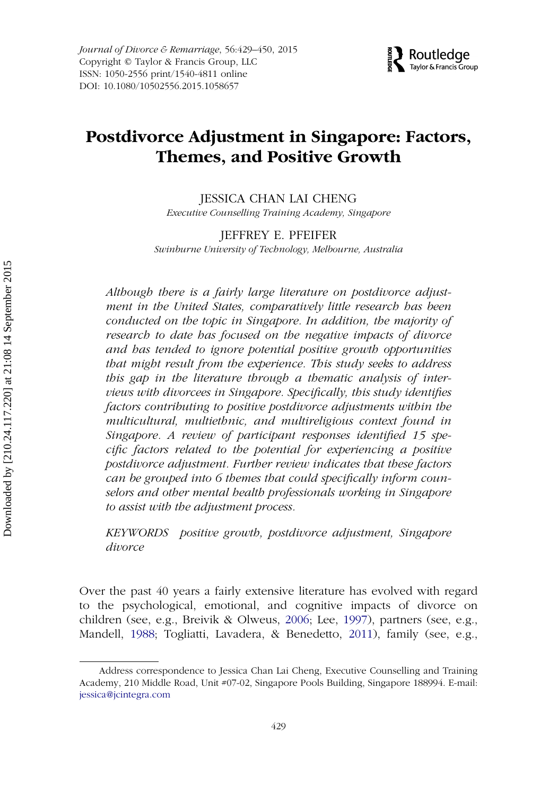

## **Postdivorce Adjustment in Singapore: Factors, Themes, and Positive Growth**

JESSICA CHAN LAI CHENG *Executive Counselling Training Academy, Singapore*

JEFFREY E. PFEIFER *Swinburne University of Technology, Melbourne, Australia*

*Although there is a fairly large literature on postdivorce adjustment in the United States, comparatively little research has been conducted on the topic in Singapore. In addition, the majority of research to date has focused on the negative impacts of divorce and has tended to ignore potential positive growth opportunities that might result from the experience. This study seeks to address this gap in the literature through a thematic analysis of interviews with divorcees in Singapore. Specifically, this study identifies factors contributing to positive postdivorce adjustments within the multicultural, multiethnic, and multireligious context found in Singapore. A review of participant responses identified 15 specific factors related to the potential for experiencing a positive postdivorce adjustment. Further review indicates that these factors can be grouped into 6 themes that could specifically inform counselors and other mental health professionals working in Singapore to assist with the adjustment process.*

*KEYWORDS positive growth, postdivorce adjustment, Singapore divorce*

Over the past 40 years a fairly extensive literature has evolved with regard to the psychological, emotional, and cognitive impacts of divorce on children (see, e.g., Breivik & Olweus, [2006;](#page-18-0) Lee, [1997\)](#page-19-0), partners (see, e.g., Mandell, [1988;](#page-20-0) Togliatti, Lavadera, & Benedetto, [2011\)](#page-21-0), family (see, e.g.,

Address correspondence to Jessica Chan Lai Cheng, Executive Counselling and Training Academy, 210 Middle Road, Unit #07-02, Singapore Pools Building, Singapore 188994. E-mail: [jessica@jcintegra.com](mailto:jessica@jcintegra.com)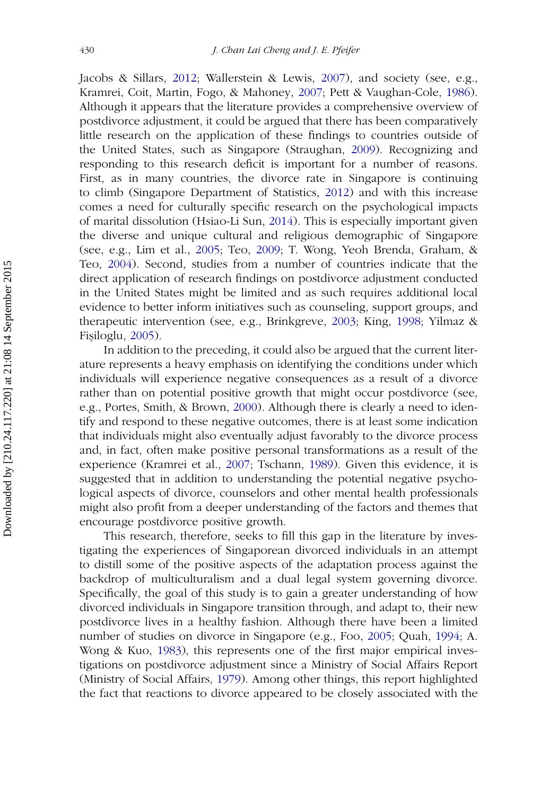Jacobs & Sillars, [2012;](#page-19-1) Wallerstein & Lewis, [2007\)](#page-21-1), and society (see, e.g., Kramrei, Coit, Martin, Fogo, & Mahoney, [2007;](#page-19-2) Pett & Vaughan-Cole, [1986\)](#page-20-1). Although it appears that the literature provides a comprehensive overview of postdivorce adjustment, it could be argued that there has been comparatively little research on the application of these findings to countries outside of the United States, such as Singapore (Straughan, [2009\)](#page-20-2). Recognizing and responding to this research deficit is important for a number of reasons. First, as in many countries, the divorce rate in Singapore is continuing to climb (Singapore Department of Statistics, [2012\)](#page-20-3) and with this increase comes a need for culturally specific research on the psychological impacts of marital dissolution (Hsiao-Li Sun, [2014\)](#page-19-3). This is especially important given the diverse and unique cultural and religious demographic of Singapore (see, e.g., Lim et al., [2005;](#page-19-4) Teo, [2009;](#page-21-2) T. Wong, Yeoh Brenda, Graham, & Teo, [2004\)](#page-22-0). Second, studies from a number of countries indicate that the direct application of research findings on postdivorce adjustment conducted in the United States might be limited and as such requires additional local evidence to better inform initiatives such as counseling, support groups, and therapeutic intervention (see, e.g., Brinkgreve, [2003;](#page-18-1) King, [1998;](#page-19-5) Yilmaz & Fisiloglu, [2005\)](#page-22-1).

In addition to the preceding, it could also be argued that the current literature represents a heavy emphasis on identifying the conditions under which individuals will experience negative consequences as a result of a divorce rather than on potential positive growth that might occur postdivorce (see, e.g., Portes, Smith, & Brown, [2000\)](#page-20-4). Although there is clearly a need to identify and respond to these negative outcomes, there is at least some indication that individuals might also eventually adjust favorably to the divorce process and, in fact, often make positive personal transformations as a result of the experience (Kramrei et al., [2007;](#page-19-2) Tschann, [1989\)](#page-21-3). Given this evidence, it is suggested that in addition to understanding the potential negative psychological aspects of divorce, counselors and other mental health professionals might also profit from a deeper understanding of the factors and themes that encourage postdivorce positive growth.

This research, therefore, seeks to fill this gap in the literature by investigating the experiences of Singaporean divorced individuals in an attempt to distill some of the positive aspects of the adaptation process against the backdrop of multiculturalism and a dual legal system governing divorce. Specifically, the goal of this study is to gain a greater understanding of how divorced individuals in Singapore transition through, and adapt to, their new postdivorce lives in a healthy fashion. Although there have been a limited number of studies on divorce in Singapore (e.g., Foo, [2005;](#page-18-2) Quah, [1994;](#page-20-5) A. Wong & Kuo, [1983\)](#page-22-2), this represents one of the first major empirical investigations on postdivorce adjustment since a Ministry of Social Affairs Report (Ministry of Social Affairs, [1979\)](#page-20-6). Among other things, this report highlighted the fact that reactions to divorce appeared to be closely associated with the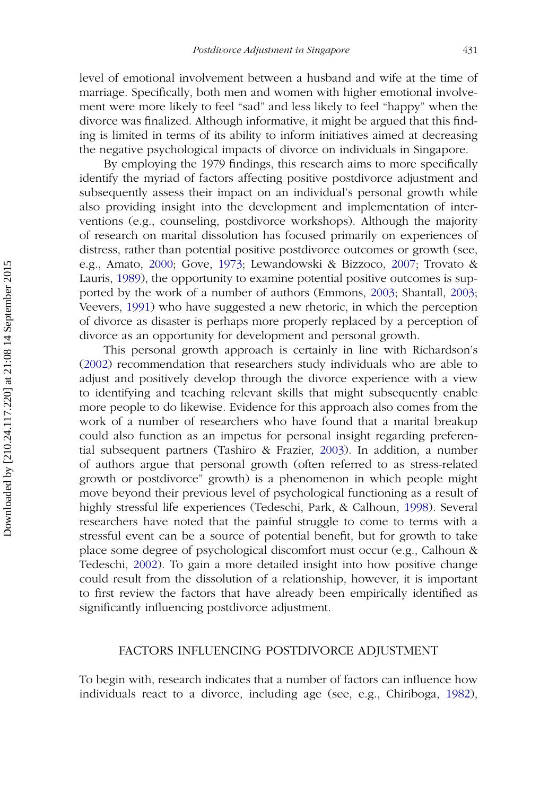level of emotional involvement between a husband and wife at the time of marriage. Specifically, both men and women with higher emotional involvement were more likely to feel "sad" and less likely to feel "happy" when the divorce was finalized. Although informative, it might be argued that this finding is limited in terms of its ability to inform initiatives aimed at decreasing the negative psychological impacts of divorce on individuals in Singapore.

By employing the 1979 findings, this research aims to more specifically identify the myriad of factors affecting positive postdivorce adjustment and subsequently assess their impact on an individual's personal growth while also providing insight into the development and implementation of interventions (e.g., counseling, postdivorce workshops). Although the majority of research on marital dissolution has focused primarily on experiences of distress, rather than potential positive postdivorce outcomes or growth (see, e.g., Amato, [2000;](#page-17-0) Gove, [1973;](#page-18-3) Lewandowski & Bizzoco, [2007;](#page-19-6) Trovato & Lauris, [1989\)](#page-21-4), the opportunity to examine potential positive outcomes is supported by the work of a number of authors (Emmons, [2003;](#page-18-4) Shantall, [2003;](#page-20-7) Veevers, [1991\)](#page-21-5) who have suggested a new rhetoric, in which the perception of divorce as disaster is perhaps more properly replaced by a perception of divorce as an opportunity for development and personal growth.

This personal growth approach is certainly in line with Richardson's [\(2002\)](#page-20-8) recommendation that researchers study individuals who are able to adjust and positively develop through the divorce experience with a view to identifying and teaching relevant skills that might subsequently enable more people to do likewise. Evidence for this approach also comes from the work of a number of researchers who have found that a marital breakup could also function as an impetus for personal insight regarding preferential subsequent partners (Tashiro & Frazier, [2003\)](#page-21-6). In addition, a number of authors argue that personal growth (often referred to as stress-related growth or postdivorce" growth) is a phenomenon in which people might move beyond their previous level of psychological functioning as a result of highly stressful life experiences (Tedeschi, Park, & Calhoun, [1998\)](#page-21-7). Several researchers have noted that the painful struggle to come to terms with a stressful event can be a source of potential benefit, but for growth to take place some degree of psychological discomfort must occur (e.g., Calhoun & Tedeschi, [2002\)](#page-18-5). To gain a more detailed insight into how positive change could result from the dissolution of a relationship, however, it is important to first review the factors that have already been empirically identified as significantly influencing postdivorce adjustment.

#### FACTORS INFLUENCING POSTDIVORCE ADJUSTMENT

To begin with, research indicates that a number of factors can influence how individuals react to a divorce, including age (see, e.g., Chiriboga, [1982\)](#page-18-6),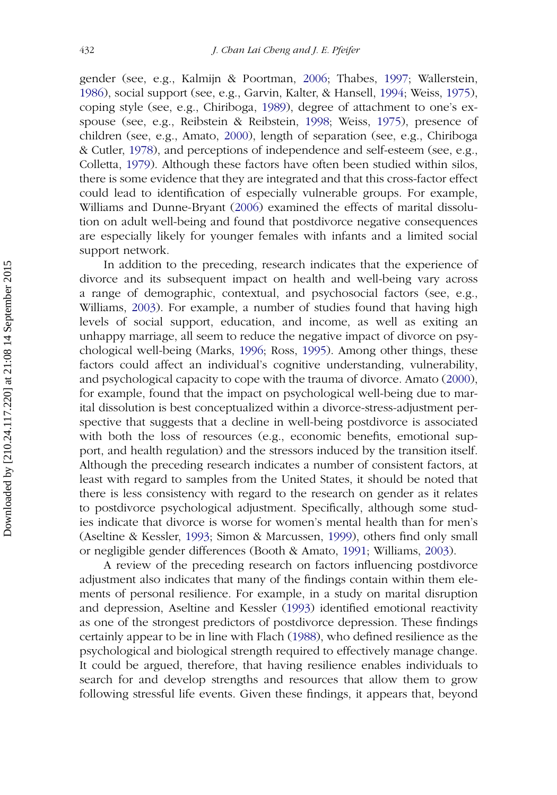gender (see, e.g., Kalmijn & Poortman, [2006;](#page-19-7) Thabes, [1997;](#page-21-8) Wallerstein, [1986\)](#page-21-9), social support (see, e.g., Garvin, Kalter, & Hansell, [1994;](#page-18-7) Weiss, [1975\)](#page-21-10), coping style (see, e.g., Chiriboga, [1989\)](#page-18-8), degree of attachment to one's exspouse (see, e.g., Reibstein & Reibstein, [1998;](#page-20-9) Weiss, [1975\)](#page-21-10), presence of children (see, e.g., Amato, [2000\)](#page-17-0), length of separation (see, e.g., Chiriboga & Cutler, [1978\)](#page-18-9), and perceptions of independence and self-esteem (see, e.g., Colletta, [1979\)](#page-18-10). Although these factors have often been studied within silos, there is some evidence that they are integrated and that this cross-factor effect could lead to identification of especially vulnerable groups. For example, Williams and Dunne-Bryant [\(2006\)](#page-21-11) examined the effects of marital dissolution on adult well-being and found that postdivorce negative consequences are especially likely for younger females with infants and a limited social support network.

In addition to the preceding, research indicates that the experience of divorce and its subsequent impact on health and well-being vary across a range of demographic, contextual, and psychosocial factors (see, e.g., Williams, [2003\)](#page-21-12). For example, a number of studies found that having high levels of social support, education, and income, as well as exiting an unhappy marriage, all seem to reduce the negative impact of divorce on psychological well-being (Marks, [1996;](#page-20-10) Ross, [1995\)](#page-20-11). Among other things, these factors could affect an individual's cognitive understanding, vulnerability, and psychological capacity to cope with the trauma of divorce. Amato [\(2000\)](#page-17-0), for example, found that the impact on psychological well-being due to marital dissolution is best conceptualized within a divorce-stress-adjustment perspective that suggests that a decline in well-being postdivorce is associated with both the loss of resources (e.g., economic benefits, emotional support, and health regulation) and the stressors induced by the transition itself. Although the preceding research indicates a number of consistent factors, at least with regard to samples from the United States, it should be noted that there is less consistency with regard to the research on gender as it relates to postdivorce psychological adjustment. Specifically, although some studies indicate that divorce is worse for women's mental health than for men's (Aseltine & Kessler, [1993;](#page-17-1) Simon & Marcussen, [1999\)](#page-20-12), others find only small or negligible gender differences (Booth & Amato, [1991;](#page-17-2) Williams, [2003\)](#page-21-12).

A review of the preceding research on factors influencing postdivorce adjustment also indicates that many of the findings contain within them elements of personal resilience. For example, in a study on marital disruption and depression, Aseltine and Kessler [\(1993\)](#page-17-1) identified emotional reactivity as one of the strongest predictors of postdivorce depression. These findings certainly appear to be in line with Flach [\(1988\)](#page-18-11), who defined resilience as the psychological and biological strength required to effectively manage change. It could be argued, therefore, that having resilience enables individuals to search for and develop strengths and resources that allow them to grow following stressful life events. Given these findings, it appears that, beyond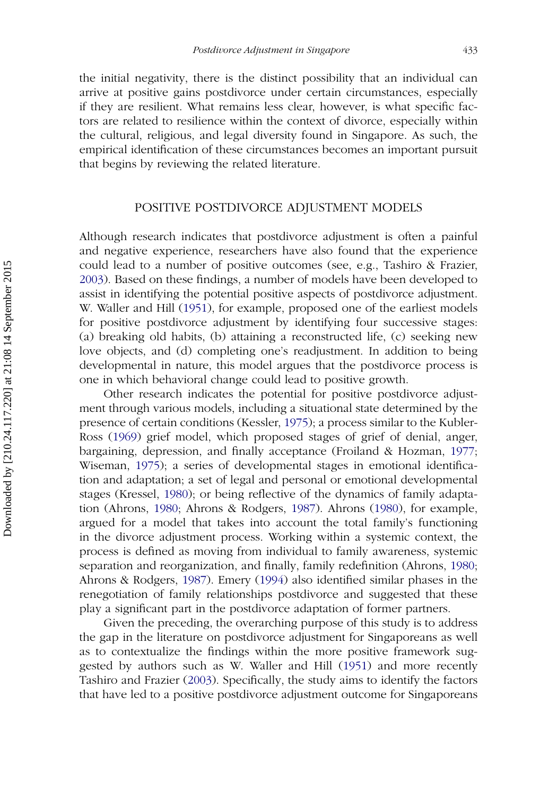the initial negativity, there is the distinct possibility that an individual can arrive at positive gains postdivorce under certain circumstances, especially if they are resilient. What remains less clear, however, is what specific factors are related to resilience within the context of divorce, especially within the cultural, religious, and legal diversity found in Singapore. As such, the empirical identification of these circumstances becomes an important pursuit that begins by reviewing the related literature.

## POSITIVE POSTDIVORCE ADJUSTMENT MODELS

Although research indicates that postdivorce adjustment is often a painful and negative experience, researchers have also found that the experience could lead to a number of positive outcomes (see, e.g., Tashiro & Frazier, [2003\)](#page-21-6). Based on these findings, a number of models have been developed to assist in identifying the potential positive aspects of postdivorce adjustment. W. Waller and Hill [\(1951\)](#page-21-13), for example, proposed one of the earliest models for positive postdivorce adjustment by identifying four successive stages: (a) breaking old habits, (b) attaining a reconstructed life, (c) seeking new love objects, and (d) completing one's readjustment. In addition to being developmental in nature, this model argues that the postdivorce process is one in which behavioral change could lead to positive growth.

Other research indicates the potential for positive postdivorce adjustment through various models, including a situational state determined by the presence of certain conditions (Kessler, [1975\)](#page-19-8); a process similar to the Kubler-Ross [\(1969\)](#page-19-9) grief model, which proposed stages of grief of denial, anger, bargaining, depression, and finally acceptance (Froiland & Hozman, [1977;](#page-18-12) Wiseman, [1975\)](#page-21-14); a series of developmental stages in emotional identification and adaptation; a set of legal and personal or emotional developmental stages (Kressel, [1980\)](#page-19-10); or being reflective of the dynamics of family adaptation (Ahrons, [1980;](#page-17-3) Ahrons & Rodgers, [1987\)](#page-17-4). Ahrons [\(1980\)](#page-17-3), for example, argued for a model that takes into account the total family's functioning in the divorce adjustment process. Working within a systemic context, the process is defined as moving from individual to family awareness, systemic separation and reorganization, and finally, family redefinition (Ahrons, [1980;](#page-17-3) Ahrons & Rodgers, [1987\)](#page-17-4). Emery [\(1994\)](#page-18-13) also identified similar phases in the renegotiation of family relationships postdivorce and suggested that these play a significant part in the postdivorce adaptation of former partners.

Given the preceding, the overarching purpose of this study is to address the gap in the literature on postdivorce adjustment for Singaporeans as well as to contextualize the findings within the more positive framework suggested by authors such as W. Waller and Hill [\(1951\)](#page-21-13) and more recently Tashiro and Frazier [\(2003\)](#page-21-6). Specifically, the study aims to identify the factors that have led to a positive postdivorce adjustment outcome for Singaporeans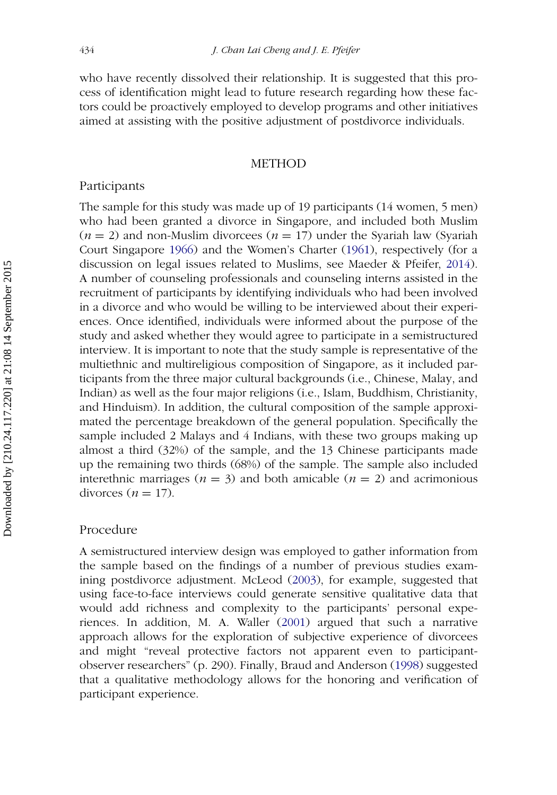who have recently dissolved their relationship. It is suggested that this process of identification might lead to future research regarding how these factors could be proactively employed to develop programs and other initiatives aimed at assisting with the positive adjustment of postdivorce individuals.

## METHOD

## Participants

The sample for this study was made up of 19 participants (14 women, 5 men) who had been granted a divorce in Singapore, and included both Muslim  $(n = 2)$  and non-Muslim divorcees  $(n = 17)$  under the Syariah law (Syariah) Court Singapore [1966\)](#page-20-13) and the Women's Charter [\(1961\)](#page-21-15), respectively (for a discussion on legal issues related to Muslims, see Maeder & Pfeifer, [2014\)](#page-19-11). A number of counseling professionals and counseling interns assisted in the recruitment of participants by identifying individuals who had been involved in a divorce and who would be willing to be interviewed about their experiences. Once identified, individuals were informed about the purpose of the study and asked whether they would agree to participate in a semistructured interview. It is important to note that the study sample is representative of the multiethnic and multireligious composition of Singapore, as it included participants from the three major cultural backgrounds (i.e., Chinese, Malay, and Indian) as well as the four major religions (i.e., Islam, Buddhism, Christianity, and Hinduism). In addition, the cultural composition of the sample approximated the percentage breakdown of the general population. Specifically the sample included 2 Malays and 4 Indians, with these two groups making up almost a third (32%) of the sample, and the 13 Chinese participants made up the remaining two thirds (68%) of the sample. The sample also included interethnic marriages ( $n = 3$ ) and both amicable ( $n = 2$ ) and acrimonious divorces  $(n = 17)$ .

## Procedure

A semistructured interview design was employed to gather information from the sample based on the findings of a number of previous studies examining postdivorce adjustment. McLeod [\(2003\)](#page-20-14), for example, suggested that using face-to-face interviews could generate sensitive qualitative data that would add richness and complexity to the participants' personal experiences. In addition, M. A. Waller [\(2001\)](#page-21-16) argued that such a narrative approach allows for the exploration of subjective experience of divorcees and might "reveal protective factors not apparent even to participantobserver researchers" (p. 290). Finally, Braud and Anderson [\(1998\)](#page-17-5) suggested that a qualitative methodology allows for the honoring and verification of participant experience.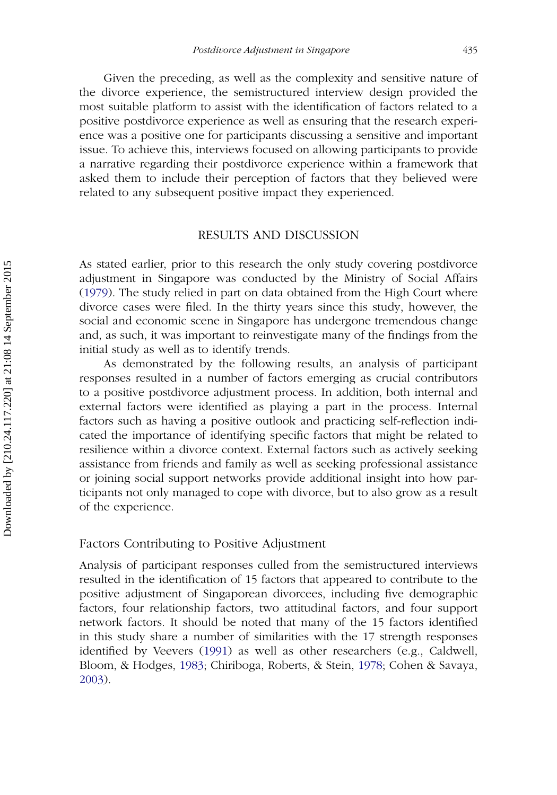Given the preceding, as well as the complexity and sensitive nature of the divorce experience, the semistructured interview design provided the most suitable platform to assist with the identification of factors related to a positive postdivorce experience as well as ensuring that the research experience was a positive one for participants discussing a sensitive and important issue. To achieve this, interviews focused on allowing participants to provide a narrative regarding their postdivorce experience within a framework that asked them to include their perception of factors that they believed were related to any subsequent positive impact they experienced.

## RESULTS AND DISCUSSION

As stated earlier, prior to this research the only study covering postdivorce adjustment in Singapore was conducted by the Ministry of Social Affairs [\(1979\)](#page-20-6). The study relied in part on data obtained from the High Court where divorce cases were filed. In the thirty years since this study, however, the social and economic scene in Singapore has undergone tremendous change and, as such, it was important to reinvestigate many of the findings from the initial study as well as to identify trends.

As demonstrated by the following results, an analysis of participant responses resulted in a number of factors emerging as crucial contributors to a positive postdivorce adjustment process. In addition, both internal and external factors were identified as playing a part in the process. Internal factors such as having a positive outlook and practicing self-reflection indicated the importance of identifying specific factors that might be related to resilience within a divorce context. External factors such as actively seeking assistance from friends and family as well as seeking professional assistance or joining social support networks provide additional insight into how participants not only managed to cope with divorce, but to also grow as a result of the experience.

## Factors Contributing to Positive Adjustment

Analysis of participant responses culled from the semistructured interviews resulted in the identification of 15 factors that appeared to contribute to the positive adjustment of Singaporean divorcees, including five demographic factors, four relationship factors, two attitudinal factors, and four support network factors. It should be noted that many of the 15 factors identified in this study share a number of similarities with the 17 strength responses identified by Veevers [\(1991\)](#page-21-5) as well as other researchers (e.g., Caldwell, Bloom, & Hodges, [1983;](#page-18-14) Chiriboga, Roberts, & Stein, [1978;](#page-18-15) Cohen & Savaya, [2003\)](#page-18-16).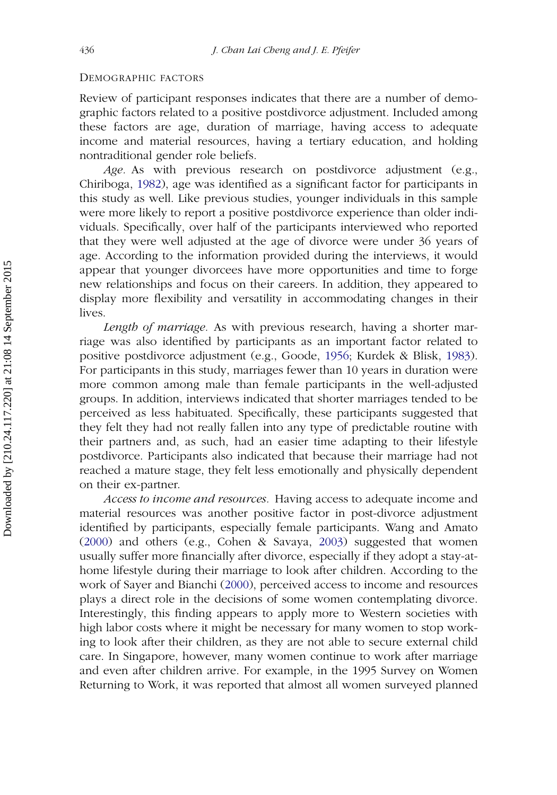#### DEMOGRAPHIC FACTORS

Review of participant responses indicates that there are a number of demographic factors related to a positive postdivorce adjustment. Included among these factors are age, duration of marriage, having access to adequate income and material resources, having a tertiary education, and holding nontraditional gender role beliefs.

*Age.* As with previous research on postdivorce adjustment (e.g., Chiriboga, [1982\)](#page-18-6), age was identified as a significant factor for participants in this study as well. Like previous studies, younger individuals in this sample were more likely to report a positive postdivorce experience than older individuals. Specifically, over half of the participants interviewed who reported that they were well adjusted at the age of divorce were under 36 years of age. According to the information provided during the interviews, it would appear that younger divorcees have more opportunities and time to forge new relationships and focus on their careers. In addition, they appeared to display more flexibility and versatility in accommodating changes in their lives.

*Length of marriage.* As with previous research, having a shorter marriage was also identified by participants as an important factor related to positive postdivorce adjustment (e.g., Goode, [1956;](#page-18-17) Kurdek & Blisk, [1983\)](#page-19-12). For participants in this study, marriages fewer than 10 years in duration were more common among male than female participants in the well-adjusted groups. In addition, interviews indicated that shorter marriages tended to be perceived as less habituated. Specifically, these participants suggested that they felt they had not really fallen into any type of predictable routine with their partners and, as such, had an easier time adapting to their lifestyle postdivorce. Participants also indicated that because their marriage had not reached a mature stage, they felt less emotionally and physically dependent on their ex-partner.

*Access to income and resources.* Having access to adequate income and material resources was another positive factor in post-divorce adjustment identified by participants, especially female participants. Wang and Amato [\(2000\)](#page-21-17) and others (e.g., Cohen & Savaya, [2003\)](#page-18-16) suggested that women usually suffer more financially after divorce, especially if they adopt a stay-athome lifestyle during their marriage to look after children. According to the work of Sayer and Bianchi [\(2000\)](#page-20-15), perceived access to income and resources plays a direct role in the decisions of some women contemplating divorce. Interestingly, this finding appears to apply more to Western societies with high labor costs where it might be necessary for many women to stop working to look after their children, as they are not able to secure external child care. In Singapore, however, many women continue to work after marriage and even after children arrive. For example, in the 1995 Survey on Women Returning to Work, it was reported that almost all women surveyed planned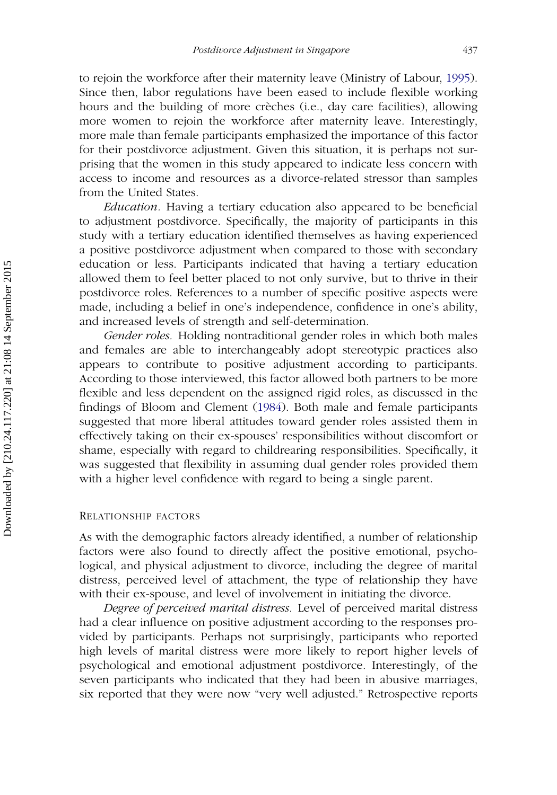to rejoin the workforce after their maternity leave (Ministry of Labour, [1995\)](#page-20-16). Since then, labor regulations have been eased to include flexible working hours and the building of more crèches (i.e., day care facilities), allowing more women to rejoin the workforce after maternity leave. Interestingly, more male than female participants emphasized the importance of this factor for their postdivorce adjustment. Given this situation, it is perhaps not surprising that the women in this study appeared to indicate less concern with access to income and resources as a divorce-related stressor than samples from the United States.

*Education.* Having a tertiary education also appeared to be beneficial to adjustment postdivorce. Specifically, the majority of participants in this study with a tertiary education identified themselves as having experienced a positive postdivorce adjustment when compared to those with secondary education or less. Participants indicated that having a tertiary education allowed them to feel better placed to not only survive, but to thrive in their postdivorce roles. References to a number of specific positive aspects were made, including a belief in one's independence, confidence in one's ability, and increased levels of strength and self-determination.

*Gender roles.* Holding nontraditional gender roles in which both males and females are able to interchangeably adopt stereotypic practices also appears to contribute to positive adjustment according to participants. According to those interviewed, this factor allowed both partners to be more flexible and less dependent on the assigned rigid roles, as discussed in the findings of Bloom and Clement [\(1984\)](#page-17-6). Both male and female participants suggested that more liberal attitudes toward gender roles assisted them in effectively taking on their ex-spouses' responsibilities without discomfort or shame, especially with regard to childrearing responsibilities. Specifically, it was suggested that flexibility in assuming dual gender roles provided them with a higher level confidence with regard to being a single parent.

#### RELATIONSHIP FACTORS

As with the demographic factors already identified, a number of relationship factors were also found to directly affect the positive emotional, psychological, and physical adjustment to divorce, including the degree of marital distress, perceived level of attachment, the type of relationship they have with their ex-spouse, and level of involvement in initiating the divorce.

*Degree of perceived marital distress.* Level of perceived marital distress had a clear influence on positive adjustment according to the responses provided by participants. Perhaps not surprisingly, participants who reported high levels of marital distress were more likely to report higher levels of psychological and emotional adjustment postdivorce. Interestingly, of the seven participants who indicated that they had been in abusive marriages, six reported that they were now "very well adjusted." Retrospective reports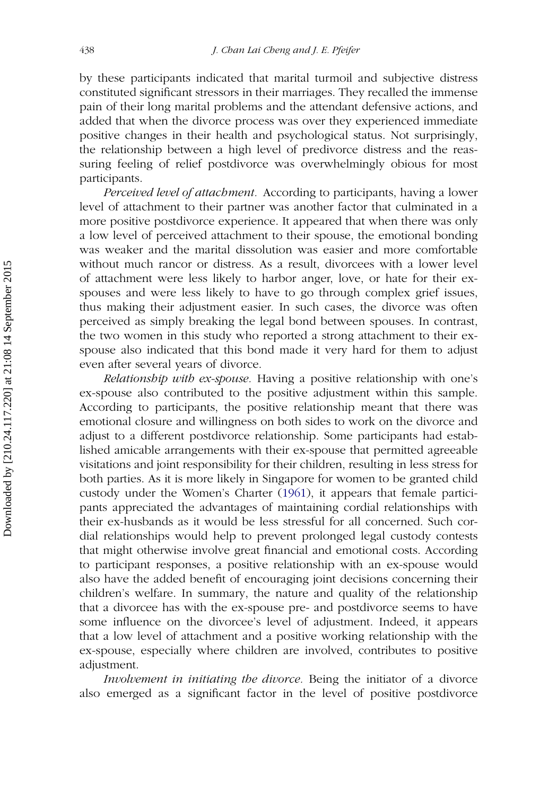by these participants indicated that marital turmoil and subjective distress constituted significant stressors in their marriages. They recalled the immense pain of their long marital problems and the attendant defensive actions, and added that when the divorce process was over they experienced immediate positive changes in their health and psychological status. Not surprisingly, the relationship between a high level of predivorce distress and the reassuring feeling of relief postdivorce was overwhelmingly obious for most participants.

*Perceived level of attachment.* According to participants, having a lower level of attachment to their partner was another factor that culminated in a more positive postdivorce experience. It appeared that when there was only a low level of perceived attachment to their spouse, the emotional bonding was weaker and the marital dissolution was easier and more comfortable without much rancor or distress. As a result, divorcees with a lower level of attachment were less likely to harbor anger, love, or hate for their exspouses and were less likely to have to go through complex grief issues, thus making their adjustment easier. In such cases, the divorce was often perceived as simply breaking the legal bond between spouses. In contrast, the two women in this study who reported a strong attachment to their exspouse also indicated that this bond made it very hard for them to adjust even after several years of divorce.

*Relationship with ex-spouse.* Having a positive relationship with one's ex-spouse also contributed to the positive adjustment within this sample. According to participants, the positive relationship meant that there was emotional closure and willingness on both sides to work on the divorce and adjust to a different postdivorce relationship. Some participants had established amicable arrangements with their ex-spouse that permitted agreeable visitations and joint responsibility for their children, resulting in less stress for both parties. As it is more likely in Singapore for women to be granted child custody under the Women's Charter [\(1961\)](#page-21-15), it appears that female participants appreciated the advantages of maintaining cordial relationships with their ex-husbands as it would be less stressful for all concerned. Such cordial relationships would help to prevent prolonged legal custody contests that might otherwise involve great financial and emotional costs. According to participant responses, a positive relationship with an ex-spouse would also have the added benefit of encouraging joint decisions concerning their children's welfare. In summary, the nature and quality of the relationship that a divorcee has with the ex-spouse pre- and postdivorce seems to have some influence on the divorcee's level of adjustment. Indeed, it appears that a low level of attachment and a positive working relationship with the ex-spouse, especially where children are involved, contributes to positive adjustment.

*Involvement in initiating the divorce.* Being the initiator of a divorce also emerged as a significant factor in the level of positive postdivorce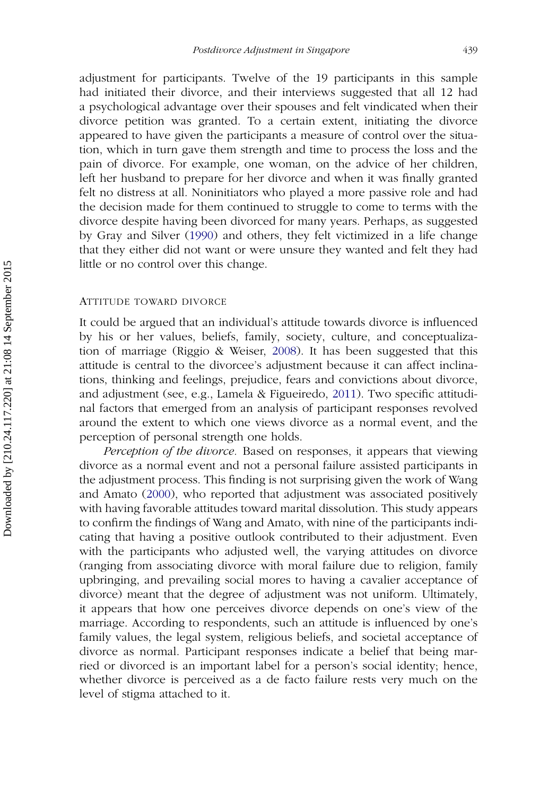adjustment for participants. Twelve of the 19 participants in this sample had initiated their divorce, and their interviews suggested that all 12 had a psychological advantage over their spouses and felt vindicated when their divorce petition was granted. To a certain extent, initiating the divorce appeared to have given the participants a measure of control over the situation, which in turn gave them strength and time to process the loss and the pain of divorce. For example, one woman, on the advice of her children, left her husband to prepare for her divorce and when it was finally granted felt no distress at all. Noninitiators who played a more passive role and had the decision made for them continued to struggle to come to terms with the divorce despite having been divorced for many years. Perhaps, as suggested by Gray and Silver [\(1990\)](#page-19-13) and others, they felt victimized in a life change that they either did not want or were unsure they wanted and felt they had little or no control over this change.

#### ATTITUDE TOWARD DIVORCE

It could be argued that an individual's attitude towards divorce is influenced by his or her values, beliefs, family, society, culture, and conceptualization of marriage (Riggio & Weiser, [2008\)](#page-20-17). It has been suggested that this attitude is central to the divorcee's adjustment because it can affect inclinations, thinking and feelings, prejudice, fears and convictions about divorce, and adjustment (see, e.g., Lamela & Figueiredo, [2011\)](#page-19-14). Two specific attitudinal factors that emerged from an analysis of participant responses revolved around the extent to which one views divorce as a normal event, and the perception of personal strength one holds.

*Perception of the divorce.* Based on responses, it appears that viewing divorce as a normal event and not a personal failure assisted participants in the adjustment process. This finding is not surprising given the work of Wang and Amato [\(2000\)](#page-21-17), who reported that adjustment was associated positively with having favorable attitudes toward marital dissolution. This study appears to confirm the findings of Wang and Amato, with nine of the participants indicating that having a positive outlook contributed to their adjustment. Even with the participants who adjusted well, the varying attitudes on divorce (ranging from associating divorce with moral failure due to religion, family upbringing, and prevailing social mores to having a cavalier acceptance of divorce) meant that the degree of adjustment was not uniform. Ultimately, it appears that how one perceives divorce depends on one's view of the marriage. According to respondents, such an attitude is influenced by one's family values, the legal system, religious beliefs, and societal acceptance of divorce as normal. Participant responses indicate a belief that being married or divorced is an important label for a person's social identity; hence, whether divorce is perceived as a de facto failure rests very much on the level of stigma attached to it.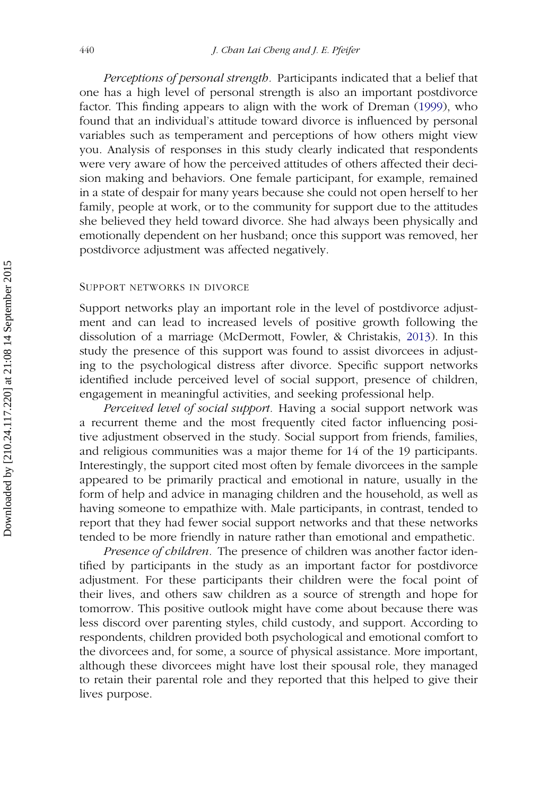*Perceptions of personal strength.* Participants indicated that a belief that one has a high level of personal strength is also an important postdivorce factor. This finding appears to align with the work of Dreman [\(1999\)](#page-18-18), who found that an individual's attitude toward divorce is influenced by personal variables such as temperament and perceptions of how others might view you. Analysis of responses in this study clearly indicated that respondents were very aware of how the perceived attitudes of others affected their decision making and behaviors. One female participant, for example, remained in a state of despair for many years because she could not open herself to her family, people at work, or to the community for support due to the attitudes she believed they held toward divorce. She had always been physically and emotionally dependent on her husband; once this support was removed, her postdivorce adjustment was affected negatively.

#### SUPPORT NETWORKS IN DIVORCE

Support networks play an important role in the level of postdivorce adjustment and can lead to increased levels of positive growth following the dissolution of a marriage (McDermott, Fowler, & Christakis, [2013\)](#page-20-18). In this study the presence of this support was found to assist divorcees in adjusting to the psychological distress after divorce. Specific support networks identified include perceived level of social support, presence of children, engagement in meaningful activities, and seeking professional help.

*Perceived level of social support.* Having a social support network was a recurrent theme and the most frequently cited factor influencing positive adjustment observed in the study. Social support from friends, families, and religious communities was a major theme for 14 of the 19 participants. Interestingly, the support cited most often by female divorcees in the sample appeared to be primarily practical and emotional in nature, usually in the form of help and advice in managing children and the household, as well as having someone to empathize with. Male participants, in contrast, tended to report that they had fewer social support networks and that these networks tended to be more friendly in nature rather than emotional and empathetic.

*Presence of children.* The presence of children was another factor identified by participants in the study as an important factor for postdivorce adjustment. For these participants their children were the focal point of their lives, and others saw children as a source of strength and hope for tomorrow. This positive outlook might have come about because there was less discord over parenting styles, child custody, and support. According to respondents, children provided both psychological and emotional comfort to the divorcees and, for some, a source of physical assistance. More important, although these divorcees might have lost their spousal role, they managed to retain their parental role and they reported that this helped to give their lives purpose.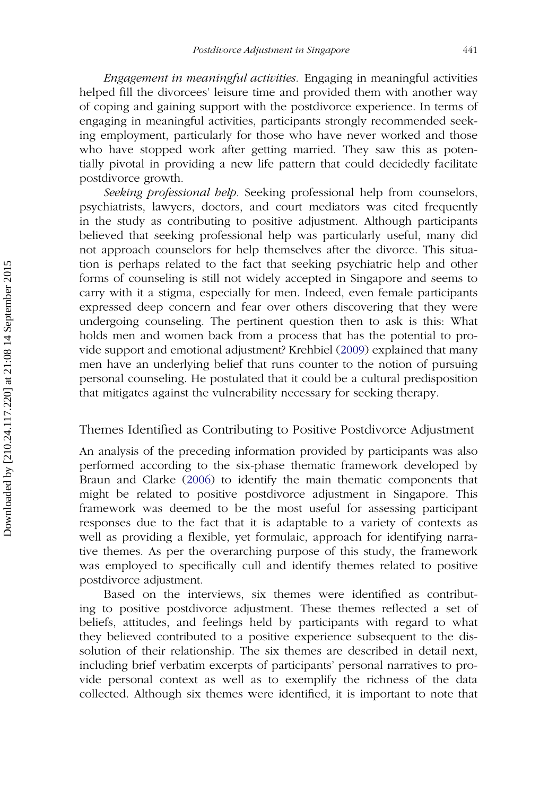*Engagement in meaningful activities.* Engaging in meaningful activities helped fill the divorcees' leisure time and provided them with another way of coping and gaining support with the postdivorce experience. In terms of engaging in meaningful activities, participants strongly recommended seeking employment, particularly for those who have never worked and those who have stopped work after getting married. They saw this as potentially pivotal in providing a new life pattern that could decidedly facilitate postdivorce growth.

*Seeking professional help.* Seeking professional help from counselors, psychiatrists, lawyers, doctors, and court mediators was cited frequently in the study as contributing to positive adjustment. Although participants believed that seeking professional help was particularly useful, many did not approach counselors for help themselves after the divorce. This situation is perhaps related to the fact that seeking psychiatric help and other forms of counseling is still not widely accepted in Singapore and seems to carry with it a stigma, especially for men. Indeed, even female participants expressed deep concern and fear over others discovering that they were undergoing counseling. The pertinent question then to ask is this: What holds men and women back from a process that has the potential to provide support and emotional adjustment? Krehbiel [\(2009\)](#page-19-15) explained that many men have an underlying belief that runs counter to the notion of pursuing personal counseling. He postulated that it could be a cultural predisposition that mitigates against the vulnerability necessary for seeking therapy.

## Themes Identified as Contributing to Positive Postdivorce Adjustment

An analysis of the preceding information provided by participants was also performed according to the six-phase thematic framework developed by Braun and Clarke [\(2006\)](#page-17-7) to identify the main thematic components that might be related to positive postdivorce adjustment in Singapore. This framework was deemed to be the most useful for assessing participant responses due to the fact that it is adaptable to a variety of contexts as well as providing a flexible, yet formulaic, approach for identifying narrative themes. As per the overarching purpose of this study, the framework was employed to specifically cull and identify themes related to positive postdivorce adjustment.

Based on the interviews, six themes were identified as contributing to positive postdivorce adjustment. These themes reflected a set of beliefs, attitudes, and feelings held by participants with regard to what they believed contributed to a positive experience subsequent to the dissolution of their relationship. The six themes are described in detail next, including brief verbatim excerpts of participants' personal narratives to provide personal context as well as to exemplify the richness of the data collected. Although six themes were identified, it is important to note that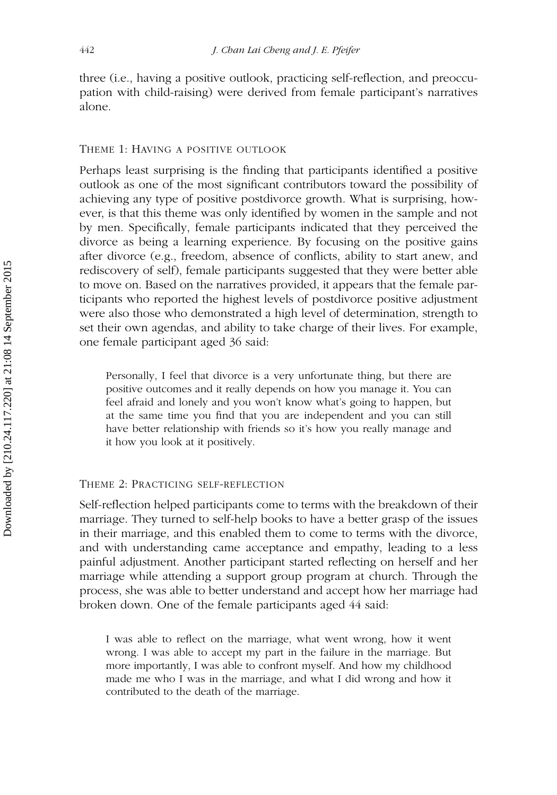three (i.e., having a positive outlook, practicing self-reflection, and preoccupation with child-raising) were derived from female participant's narratives alone.

## THEME 1: HAVING A POSITIVE OUTLOOK

Perhaps least surprising is the finding that participants identified a positive outlook as one of the most significant contributors toward the possibility of achieving any type of positive postdivorce growth. What is surprising, however, is that this theme was only identified by women in the sample and not by men. Specifically, female participants indicated that they perceived the divorce as being a learning experience. By focusing on the positive gains after divorce (e.g., freedom, absence of conflicts, ability to start anew, and rediscovery of self), female participants suggested that they were better able to move on. Based on the narratives provided, it appears that the female participants who reported the highest levels of postdivorce positive adjustment were also those who demonstrated a high level of determination, strength to set their own agendas, and ability to take charge of their lives. For example, one female participant aged 36 said:

Personally, I feel that divorce is a very unfortunate thing, but there are positive outcomes and it really depends on how you manage it. You can feel afraid and lonely and you won't know what's going to happen, but at the same time you find that you are independent and you can still have better relationship with friends so it's how you really manage and it how you look at it positively.

## THEME 2: PRACTICING SELF-REFLECTION

Self-reflection helped participants come to terms with the breakdown of their marriage. They turned to self-help books to have a better grasp of the issues in their marriage, and this enabled them to come to terms with the divorce, and with understanding came acceptance and empathy, leading to a less painful adjustment. Another participant started reflecting on herself and her marriage while attending a support group program at church. Through the process, she was able to better understand and accept how her marriage had broken down. One of the female participants aged 44 said:

I was able to reflect on the marriage, what went wrong, how it went wrong. I was able to accept my part in the failure in the marriage. But more importantly, I was able to confront myself. And how my childhood made me who I was in the marriage, and what I did wrong and how it contributed to the death of the marriage.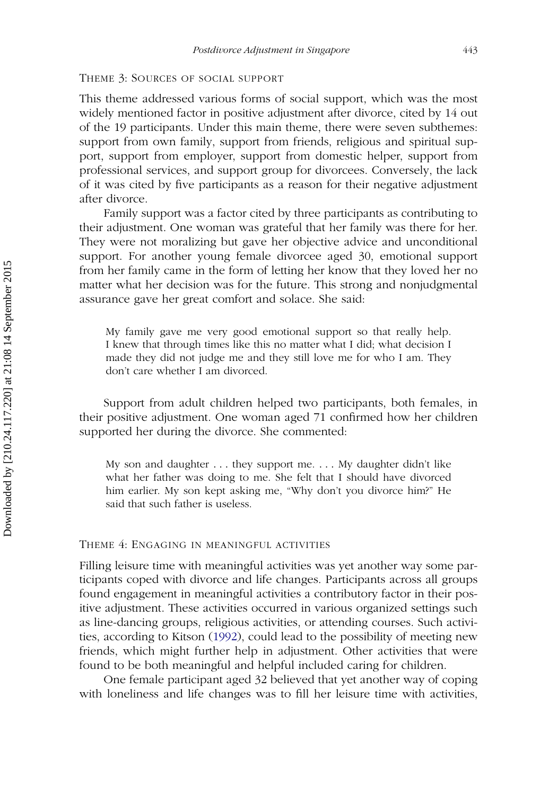## THEME 3: SOURCES OF SOCIAL SUPPORT

This theme addressed various forms of social support, which was the most widely mentioned factor in positive adjustment after divorce, cited by 14 out of the 19 participants. Under this main theme, there were seven subthemes: support from own family, support from friends, religious and spiritual support, support from employer, support from domestic helper, support from professional services, and support group for divorcees. Conversely, the lack of it was cited by five participants as a reason for their negative adjustment after divorce.

Family support was a factor cited by three participants as contributing to their adjustment. One woman was grateful that her family was there for her. They were not moralizing but gave her objective advice and unconditional support. For another young female divorcee aged 30, emotional support from her family came in the form of letting her know that they loved her no matter what her decision was for the future. This strong and nonjudgmental assurance gave her great comfort and solace. She said:

My family gave me very good emotional support so that really help. I knew that through times like this no matter what I did; what decision I made they did not judge me and they still love me for who I am. They don't care whether I am divorced.

Support from adult children helped two participants, both females, in their positive adjustment. One woman aged 71 confirmed how her children supported her during the divorce. She commented:

My son and daughter *...* they support me. *...* My daughter didn't like what her father was doing to me. She felt that I should have divorced him earlier. My son kept asking me, "Why don't you divorce him?" He said that such father is useless.

## THEME 4: ENGAGING IN MEANINGFUL ACTIVITIES

Filling leisure time with meaningful activities was yet another way some participants coped with divorce and life changes. Participants across all groups found engagement in meaningful activities a contributory factor in their positive adjustment. These activities occurred in various organized settings such as line-dancing groups, religious activities, or attending courses. Such activities, according to Kitson [\(1992\)](#page-19-16), could lead to the possibility of meeting new friends, which might further help in adjustment. Other activities that were found to be both meaningful and helpful included caring for children.

One female participant aged 32 believed that yet another way of coping with loneliness and life changes was to fill her leisure time with activities,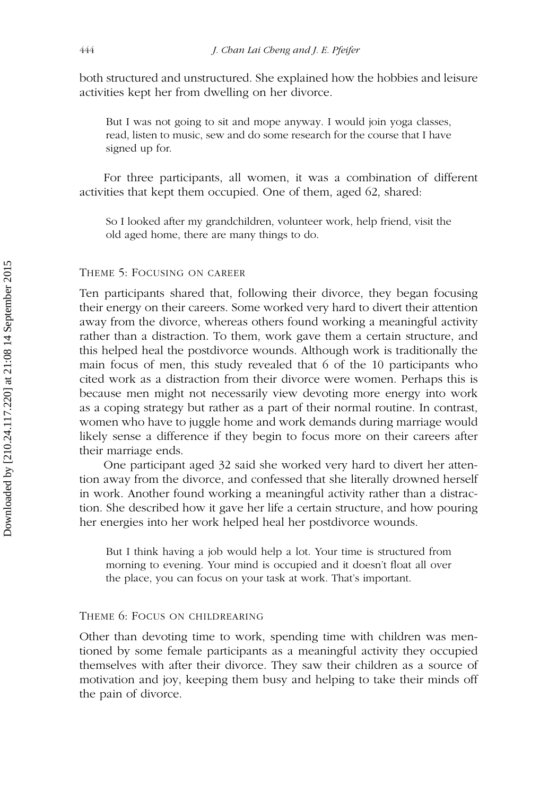both structured and unstructured. She explained how the hobbies and leisure activities kept her from dwelling on her divorce.

But I was not going to sit and mope anyway. I would join yoga classes, read, listen to music, sew and do some research for the course that I have signed up for.

For three participants, all women, it was a combination of different activities that kept them occupied. One of them, aged 62, shared:

So I looked after my grandchildren, volunteer work, help friend, visit the old aged home, there are many things to do.

#### THEME 5: FOCUSING ON CAREER

Ten participants shared that, following their divorce, they began focusing their energy on their careers. Some worked very hard to divert their attention away from the divorce, whereas others found working a meaningful activity rather than a distraction. To them, work gave them a certain structure, and this helped heal the postdivorce wounds. Although work is traditionally the main focus of men, this study revealed that 6 of the 10 participants who cited work as a distraction from their divorce were women. Perhaps this is because men might not necessarily view devoting more energy into work as a coping strategy but rather as a part of their normal routine. In contrast, women who have to juggle home and work demands during marriage would likely sense a difference if they begin to focus more on their careers after their marriage ends.

One participant aged 32 said she worked very hard to divert her attention away from the divorce, and confessed that she literally drowned herself in work. Another found working a meaningful activity rather than a distraction. She described how it gave her life a certain structure, and how pouring her energies into her work helped heal her postdivorce wounds.

But I think having a job would help a lot. Your time is structured from morning to evening. Your mind is occupied and it doesn't float all over the place, you can focus on your task at work. That's important.

## THEME 6: FOCUS ON CHILDREARING

Other than devoting time to work, spending time with children was mentioned by some female participants as a meaningful activity they occupied themselves with after their divorce. They saw their children as a source of motivation and joy, keeping them busy and helping to take their minds off the pain of divorce.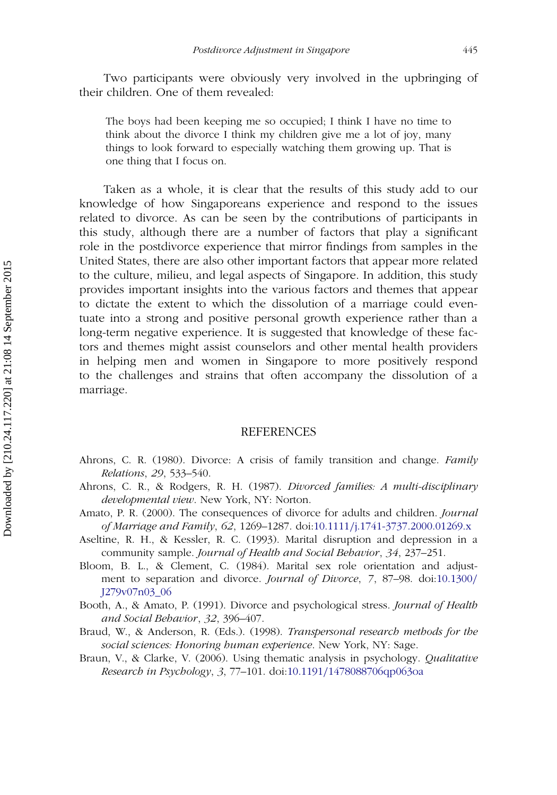Two participants were obviously very involved in the upbringing of their children. One of them revealed:

The boys had been keeping me so occupied; I think I have no time to think about the divorce I think my children give me a lot of joy, many things to look forward to especially watching them growing up. That is one thing that I focus on.

Taken as a whole, it is clear that the results of this study add to our knowledge of how Singaporeans experience and respond to the issues related to divorce. As can be seen by the contributions of participants in this study, although there are a number of factors that play a significant role in the postdivorce experience that mirror findings from samples in the United States, there are also other important factors that appear more related to the culture, milieu, and legal aspects of Singapore. In addition, this study provides important insights into the various factors and themes that appear to dictate the extent to which the dissolution of a marriage could eventuate into a strong and positive personal growth experience rather than a long-term negative experience. It is suggested that knowledge of these factors and themes might assist counselors and other mental health providers in helping men and women in Singapore to more positively respond to the challenges and strains that often accompany the dissolution of a marriage.

#### **REFERENCES**

- <span id="page-17-3"></span>Ahrons, C. R. (1980). Divorce: A crisis of family transition and change. *Family Relations*, *29*, 533–540.
- <span id="page-17-4"></span>Ahrons, C. R., & Rodgers, R. H. (1987). *Divorced families: A multi-disciplinary developmental view*. New York, NY: Norton.
- <span id="page-17-0"></span>Amato, P. R. (2000). The consequences of divorce for adults and children. *Journal of Marriage and Family*, *62*, 1269–1287. doi:10.1111*/*[j.1741-3737.2000.01269.x](http://dx.doi.org/10.1111\gdef yes{no}$/$\gdef \ {$/$}\gdef no{no}\gdef yes{yes}\gdef \ \gdef \ {\ }\gdef no{no}\gdef yes{yes}{$/$\gdef \ {$/$}\gdef no{no}\gdef yes{yes}}j.1741-3737.2000.01269.x)
- <span id="page-17-1"></span>Aseltine, R. H., & Kessler, R. C. (1993). Marital disruption and depression in a community sample. *Journal of Health and Social Behavior*, *34*, 237–251.
- <span id="page-17-6"></span>Bloom, B. L., & Clement, C. (1984). Marital sex role orientation and adjustment to separation and divorce. *Journal of Divorce*, *7*, 87–98. doi:10.1300*/* J279v07n03\_06
- <span id="page-17-2"></span>Booth, A., & Amato, P. (1991). Divorce and psychological stress. *Journal of Health and Social Behavior*, *32*, 396–407.
- <span id="page-17-5"></span>Braud, W., & Anderson, R. (Eds.). (1998). *Transpersonal research methods for the social sciences: Honoring human experience*. New York, NY: Sage.
- <span id="page-17-7"></span>Braun, V., & Clarke, V. (2006). Using thematic analysis in psychology. *Qualitative Research in Psychology*, *3*, 77–101. doi:10.1191*/*[1478088706qp063oa](http://dx.doi.org/10.1191\gdef yes{no}$/$\gdef \ {$/$}\gdef no{no}\gdef yes{yes}\gdef \ \gdef \ {\ }\gdef no{no}\gdef yes{yes}{$/$\gdef \ {$/$}\gdef no{no}\gdef yes{yes}}1478088706qp063oa)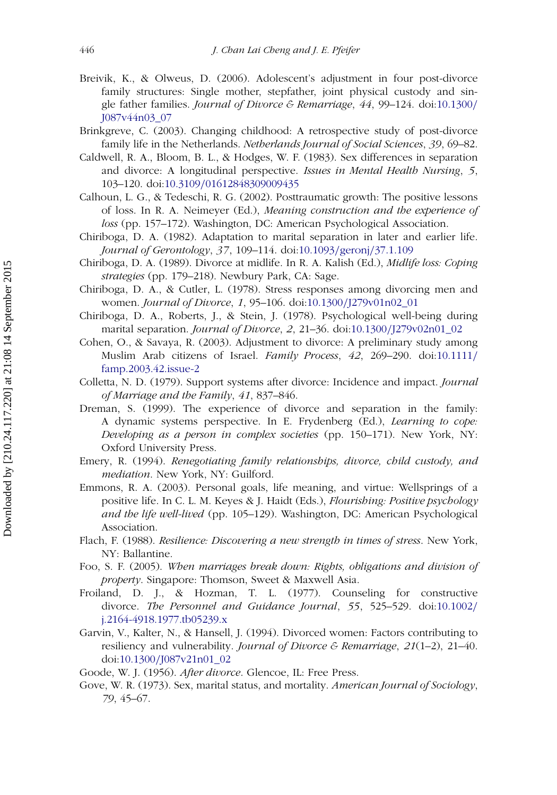- <span id="page-18-0"></span>Breivik, K., & Olweus, D. (2006). Adolescent's adjustment in four post-divorce family structures: Single mother, stepfather, joint physical custody and single father families. *Journal of Divorce & Remarriage*, *44*, 99–124. doi:10.1300*/* J087v44n03\_07
- <span id="page-18-1"></span>Brinkgreve, C. (2003). Changing childhood: A retrospective study of post-divorce family life in the Netherlands. *Netherlands Journal of Social Sciences*, *39*, 69–82.
- <span id="page-18-14"></span>Caldwell, R. A., Bloom, B. L., & Hodges, W. F. (1983). Sex differences in separation and divorce: A longitudinal perspective. *Issues in Mental Health Nursing*, *5*, 103–120. doi:10.3109*/*[01612848309009435](http://dx.doi.org/10.3109\gdef yes{no}$/$\gdef \ {$/$}\gdef no{no}\gdef yes{yes}\gdef \ \gdef \ {\ }\gdef no{no}\gdef yes{yes}{$/$\gdef \ {$/$}\gdef no{no}\gdef yes{yes}}01612848309009435)
- <span id="page-18-5"></span>Calhoun, L. G., & Tedeschi, R. G. (2002). Posttraumatic growth: The positive lessons of loss. In R. A. Neimeyer (Ed.), *Meaning construction and the experience of loss* (pp. 157–172). Washington, DC: American Psychological Association.
- <span id="page-18-6"></span>Chiriboga, D. A. (1982). Adaptation to marital separation in later and earlier life. *Journal of Gerontology*, *37*, 109–114. doi:10.1093*/*geronj*/*[37.1.109](http://dx.doi.org/10.1093\gdef yes{no}$/$\gdef \ {$/$}\gdef no{no}\gdef yes{yes}\gdef \ \gdef \ {\ }\gdef no{no}\gdef yes{yes}{$/$\gdef \ {$/$}\gdef no{no}\gdef yes{yes}}geronj\gdef yes{no}$/$\gdef \ {$/$}\gdef no{no}\gdef yes{yes}\gdef \ \gdef \ {\ }\gdef no{no}\gdef yes{yes}{$/$\gdef \ {$/$}\gdef no{no}\gdef yes{yes}}37.1.109)
- <span id="page-18-8"></span>Chiriboga, D. A. (1989). Divorce at midlife. In R. A. Kalish (Ed.), *Midlife loss: Coping strategies* (pp. 179–218). Newbury Park, CA: Sage.
- <span id="page-18-9"></span>Chiriboga, D. A., & Cutler, L. (1978). Stress responses among divorcing men and women. *Journal of Divorce*, *1*, 95–106. doi:10.1300*/*[J279v01n02\\_01](http://dx.doi.org/10.1300\gdef yes{no}$/$\gdef \ {$/$}\gdef no{no}\gdef yes{yes}\gdef \ \gdef \ {\ }\gdef no{no}\gdef yes{yes}{$/$\gdef \ {$/$}\gdef no{no}\gdef yes{yes}}J279v01n02\gdef yes{no}_\gdef \ {_}\gdef no{no}\gdef yes{yes}\gdef \ \gdef \ {\ }\gdef no{no}\gdef yes{yes}{_\gdef \ {_}\gdef no{no}\gdef yes{yes}}01)
- <span id="page-18-15"></span>Chiriboga, D. A., Roberts, J., & Stein, J. (1978). Psychological well-being during marital separation. *Journal of Divorce*, *2*, 21–36. doi:10.1300*/*[J279v02n01\\_02](http://dx.doi.org/10.1300\gdef yes{no}$/$\gdef \ {$/$}\gdef no{no}\gdef yes{yes}\gdef \ \gdef \ {\ }\gdef no{no}\gdef yes{yes}{$/$\gdef \ {$/$}\gdef no{no}\gdef yes{yes}}J279v02n01\gdef yes{no}_\gdef \ {_}\gdef no{no}\gdef yes{yes}\gdef \ \gdef \ {\ }\gdef no{no}\gdef yes{yes}{_\gdef \ {_}\gdef no{no}\gdef yes{yes}}02)
- <span id="page-18-16"></span>Cohen, O., & Savaya, R. (2003). Adjustment to divorce: A preliminary study among Muslim Arab citizens of Israel. *Family Process*, *42*, 269–290. doi:10.1111*/* famp.2003.42.issue-2
- <span id="page-18-10"></span>Colletta, N. D. (1979). Support systems after divorce: Incidence and impact. *Journal of Marriage and the Family*, *41*, 837–846.
- <span id="page-18-18"></span>Dreman, S. (1999). The experience of divorce and separation in the family: A dynamic systems perspective. In E. Frydenberg (Ed.), *Learning to cope: Developing as a person in complex societies* (pp. 150–171). New York, NY: Oxford University Press.
- <span id="page-18-13"></span>Emery, R. (1994). *Renegotiating family relationships, divorce, child custody, and mediation*. New York, NY: Guilford.
- <span id="page-18-4"></span>Emmons, R. A. (2003). Personal goals, life meaning, and virtue: Wellsprings of a positive life. In C. L. M. Keyes & J. Haidt (Eds.), *Flourishing: Positive psychology and the life well-lived* (pp. 105–129). Washington, DC: American Psychological Association.
- <span id="page-18-11"></span>Flach, F. (1988). *Resilience: Discovering a new strength in times of stress*. New York, NY: Ballantine.
- <span id="page-18-2"></span>Foo, S. F. (2005). *When marriages break down: Rights, obligations and division of property*. Singapore: Thomson, Sweet & Maxwell Asia.
- <span id="page-18-12"></span>Froiland, D. J., & Hozman, T. L. (1977). Counseling for constructive divorce. *The Personnel and Guidance Journal*, *55*, 525–529. doi:10.1002*/* j.2164-4918.1977.tb05239.x
- <span id="page-18-7"></span>Garvin, V., Kalter, N., & Hansell, J. (1994). Divorced women: Factors contributing to resiliency and vulnerability. *Journal of Divorce & Remarriage*, *21*(1–2), 21–40. doi:10.1300*/*[J087v21n01\\_02](http://dx.doi.org/10.1300\gdef yes{no}$/$\gdef \ {$/$}\gdef no{no}\gdef yes{yes}\gdef \ \gdef \ {\ }\gdef no{no}\gdef yes{yes}{$/$\gdef \ {$/$}\gdef no{no}\gdef yes{yes}}J087v21n01\gdef yes{no}_\gdef \ {_}\gdef no{no}\gdef yes{yes}\gdef \ \gdef \ {\ }\gdef no{no}\gdef yes{yes}{_\gdef \ {_}\gdef no{no}\gdef yes{yes}}02)
- <span id="page-18-17"></span>Goode, W. J. (1956). *After divorce*. Glencoe, IL: Free Press.
- <span id="page-18-3"></span>Gove, W. R. (1973). Sex, marital status, and mortality. *American Journal of Sociology*, *79*, 45–67.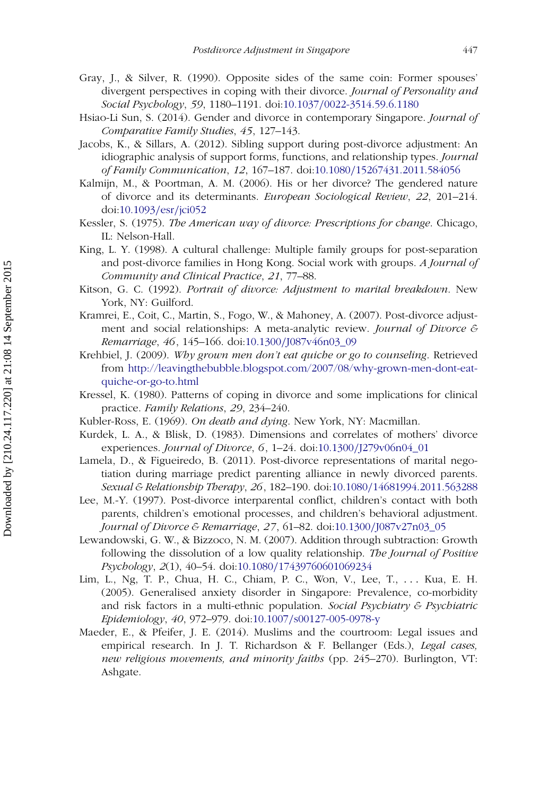- <span id="page-19-13"></span>Gray, J., & Silver, R. (1990). Opposite sides of the same coin: Former spouses' divergent perspectives in coping with their divorce. *Journal of Personality and Social Psychology*, *59*, 1180–1191. doi:10.1037*/*[0022-3514.59.6.1180](http://dx.doi.org/10.1037\gdef yes{no}$/$\gdef \ {$/$}\gdef no{no}\gdef yes{yes}\gdef \ \gdef \ {\ }\gdef no{no}\gdef yes{yes}{$/$\gdef \ {$/$}\gdef no{no}\gdef yes{yes}}0022-3514.59.6.1180)
- <span id="page-19-3"></span>Hsiao-Li Sun, S. (2014). Gender and divorce in contemporary Singapore. *Journal of Comparative Family Studies*, *45*, 127–143.
- <span id="page-19-1"></span>Jacobs, K., & Sillars, A. (2012). Sibling support during post-divorce adjustment: An idiographic analysis of support forms, functions, and relationship types. *Journal of Family Communication*, *12*, 167–187. doi:10.1080*/*[15267431.2011.584056](http://dx.doi.org/10.1080\gdef yes{no}$/$\gdef \ {$/$}\gdef no{no}\gdef yes{yes}\gdef \ \gdef \ {\ }\gdef no{no}\gdef yes{yes}{$/$\gdef \ {$/$}\gdef no{no}\gdef yes{yes}}15267431.2011.584056)
- <span id="page-19-7"></span>Kalmijn, M., & Poortman, A. M. (2006). His or her divorce? The gendered nature of divorce and its determinants. *European Sociological Review*, *22*, 201–214. doi[:10.1093](http://dx.doi.org/10.1093\gdef yes{no}$/$\gdef \ {$/$}\gdef no{no}\gdef yes{yes}\gdef \ \gdef \ {\ }\gdef no{no}\gdef yes{yes}{$/$\gdef \ {$/$}\gdef no{no}\gdef yes{yes}}esr\gdef yes{no}$/$\gdef \ {$/$}\gdef no{no}\gdef yes{yes}\gdef \ \gdef \ {\ }\gdef no{no}\gdef yes{yes}{$/$\gdef \ {$/$}\gdef no{no}\gdef yes{yes}}jci052)*/*esr*/*jci052
- <span id="page-19-8"></span>Kessler, S. (1975). *The American way of divorce: Prescriptions for change*. Chicago, IL: Nelson-Hall.
- <span id="page-19-5"></span>King, L. Y. (1998). A cultural challenge: Multiple family groups for post-separation and post-divorce families in Hong Kong. Social work with groups. *A Journal of Community and Clinical Practice*, *21*, 77–88.
- <span id="page-19-16"></span>Kitson, G. C. (1992). *Portrait of divorce: Adjustment to marital breakdown*. New York, NY: Guilford.
- <span id="page-19-2"></span>Kramrei, E., Coit, C., Martin, S., Fogo, W., & Mahoney, A. (2007). Post-divorce adjustment and social relationships: A meta-analytic review. *Journal of Divorce & Remarriage*, *46*, 145–166. doi:10.1300*/*[J087v46n03\\_09](http://dx.doi.org/10.1300\gdef yes{no}$/$\gdef \ {$/$}\gdef no{no}\gdef yes{yes}\gdef \ \gdef \ {\ }\gdef no{no}\gdef yes{yes}{$/$\gdef \ {$/$}\gdef no{no}\gdef yes{yes}}J087v46n03\gdef yes{no}_\gdef \ {_}\gdef no{no}\gdef yes{yes}\gdef \ \gdef \ {\ }\gdef no{no}\gdef yes{yes}{_\gdef \ {_}\gdef no{no}\gdef yes{yes}}09)
- <span id="page-19-15"></span>Krehbiel, J. (2009). *Why grown men don't eat quiche or go to counseling*. Retrieved from [http://leavingthebubble.blogspot.com/2007/08/why-grown-men-dont-eat](http://leavingthebubble.blogspot.com/2007/08/why-grown-men-dont-eat-quiche-or-go-to.html)[quiche-or-go-to.html](http://leavingthebubble.blogspot.com/2007/08/why-grown-men-dont-eat-quiche-or-go-to.html)
- <span id="page-19-10"></span>Kressel, K. (1980). Patterns of coping in divorce and some implications for clinical practice. *Family Relations*, *29*, 234–240.
- <span id="page-19-9"></span>Kubler-Ross, E. (1969). *On death and dying*. New York, NY: Macmillan.
- <span id="page-19-12"></span>Kurdek, L. A., & Blisk, D. (1983). Dimensions and correlates of mothers' divorce experiences. *Journal of Divorce*, *6*, 1–24. doi:10.1300*/*[J279v06n04\\_01](http://dx.doi.org/10.1300\gdef yes{no}$/$\gdef \ {$/$}\gdef no{no}\gdef yes{yes}\gdef \ \gdef \ {\ }\gdef no{no}\gdef yes{yes}{$/$\gdef \ {$/$}\gdef no{no}\gdef yes{yes}}J279v06n04\gdef yes{no}_\gdef \ {_}\gdef no{no}\gdef yes{yes}\gdef \ \gdef \ {\ }\gdef no{no}\gdef yes{yes}{_\gdef \ {_}\gdef no{no}\gdef yes{yes}}01)
- <span id="page-19-14"></span>Lamela, D., & Figueiredo, B. (2011). Post-divorce representations of marital negotiation during marriage predict parenting alliance in newly divorced parents. *Sexual & Relationship Therapy*, *26*, 182–190. doi:10.1080*/*[14681994.2011.563288](http://dx.doi.org/10.1080\gdef yes{no}$/$\gdef \ {$/$}\gdef no{no}\gdef yes{yes}\gdef \ \gdef \ {\ }\gdef no{no}\gdef yes{yes}{$/$\gdef \ {$/$}\gdef no{no}\gdef yes{yes}}14681994.2011.563288)
- <span id="page-19-0"></span>Lee, M.-Y. (1997). Post-divorce interparental conflict, children's contact with both parents, children's emotional processes, and children's behavioral adjustment. *Journal of Divorce & Remarriage*, *27*, 61–82. doi:10.1300*/*[J087v27n03\\_05](http://dx.doi.org/10.1300\gdef yes{no}$/$\gdef \ {$/$}\gdef no{no}\gdef yes{yes}\gdef \ \gdef \ {\ }\gdef no{no}\gdef yes{yes}{$/$\gdef \ {$/$}\gdef no{no}\gdef yes{yes}}J087v27n03\gdef yes{no}_\gdef \ {_}\gdef no{no}\gdef yes{yes}\gdef \ \gdef \ {\ }\gdef no{no}\gdef yes{yes}{_\gdef \ {_}\gdef no{no}\gdef yes{yes}}05)
- <span id="page-19-6"></span>Lewandowski, G. W., & Bizzoco, N. M. (2007). Addition through subtraction: Growth following the dissolution of a low quality relationship. *The Journal of Positive Psychology*, *2*(1), 40–54. doi:10.1080*/*[17439760601069234](http://dx.doi.org/10.1080\gdef yes{no}$/$\gdef \ {$/$}\gdef no{no}\gdef yes{yes}\gdef \ \gdef \ {\ }\gdef no{no}\gdef yes{yes}{$/$\gdef \ {$/$}\gdef no{no}\gdef yes{yes}}17439760601069234)
- <span id="page-19-4"></span>Lim, L., Ng, T. P., Chua, H. C., Chiam, P. C., Won, V., Lee, T., *...* Kua, E. H. (2005). Generalised anxiety disorder in Singapore: Prevalence, co-morbidity and risk factors in a multi-ethnic population. *Social Psychiatry & Psychiatric Epidemiology*, *40*, 972–979. doi:10.1007*/*[s00127-005-0978-y](http://dx.doi.org/10.1007\gdef yes{no}$/$\gdef \ {$/$}\gdef no{no}\gdef yes{yes}\gdef \ \gdef \ {\ }\gdef no{no}\gdef yes{yes}{$/$\gdef \ {$/$}\gdef no{no}\gdef yes{yes}}s00127-005-0978-y)
- <span id="page-19-11"></span>Maeder, E., & Pfeifer, J. E. (2014). Muslims and the courtroom: Legal issues and empirical research. In J. T. Richardson & F. Bellanger (Eds.), *Legal cases, new religious movements, and minority faiths* (pp. 245–270). Burlington, VT: Ashgate.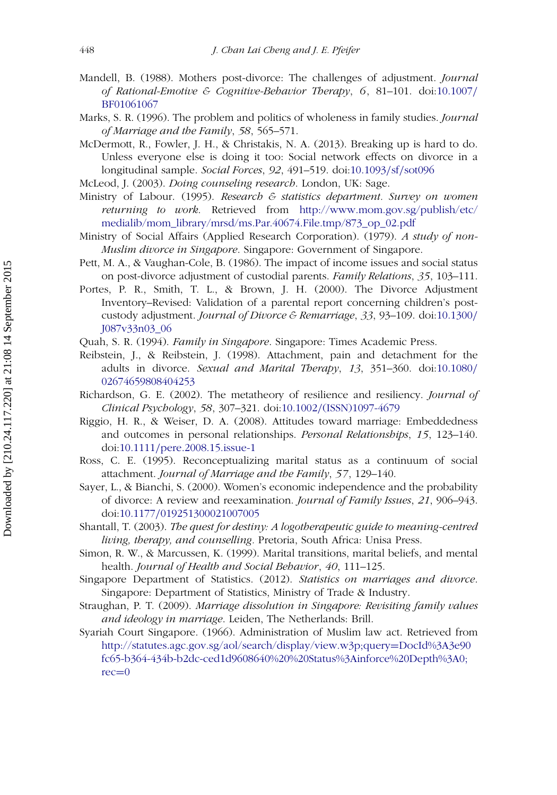- <span id="page-20-0"></span>Mandell, B. (1988). Mothers post-divorce: The challenges of adjustment. *Journal of Rational-Emotive & Cognitive-Behavior Therapy*, *6*, 81–101. doi:10.1007*/* BF01061067
- <span id="page-20-10"></span>Marks, S. R. (1996). The problem and politics of wholeness in family studies. *Journal of Marriage and the Family*, *58*, 565–571.
- <span id="page-20-18"></span>McDermott, R., Fowler, J. H., & Christakis, N. A. (2013). Breaking up is hard to do. Unless everyone else is doing it too: Social network effects on divorce in a longitudinal sample. *Social Forces*, *92*, 491–519. doi[:10.1093](http://dx.doi.org/10.1093\gdef yes{no}$/$\gdef \ {$/$}\gdef no{no}\gdef yes{yes}\gdef \ \gdef \ {\ }\gdef no{no}\gdef yes{yes}{$/$\gdef \ {$/$}\gdef no{no}\gdef yes{yes}}sf\gdef yes{no}$/$\gdef \ {$/$}\gdef no{no}\gdef yes{yes}\gdef \ \gdef \ {\ }\gdef no{no}\gdef yes{yes}{$/$\gdef \ {$/$}\gdef no{no}\gdef yes{yes}}sot096)*/*sf*/*sot096

<span id="page-20-14"></span>McLeod, J. (2003). *Doing counseling research*. London, UK: Sage.

- <span id="page-20-16"></span>Ministry of Labour. (1995). *Research & statistics department. Survey on women returning to work*. Retrieved from [http://www.mom.gov.sg/publish/etc/](http://www.mom.gov.sg/publish/etc/medialib/mom_library/mrsd/ms.Par.40674.File.tmp/873_op_02.pdf) [medialib/mom\\_library/mrsd/ms.Par.40674.File.tmp/873\\_op\\_02.pdf](http://www.mom.gov.sg/publish/etc/medialib/mom_library/mrsd/ms.Par.40674.File.tmp/873_op_02.pdf)
- <span id="page-20-6"></span>Ministry of Social Affairs (Applied Research Corporation). (1979). *A study of non-Muslim divorce in Singapore*. Singapore: Government of Singapore.
- <span id="page-20-1"></span>Pett, M. A., & Vaughan-Cole, B. (1986). The impact of income issues and social status on post-divorce adjustment of custodial parents. *Family Relations*, *35*, 103–111.
- <span id="page-20-4"></span>Portes, P. R., Smith, T. L., & Brown, J. H. (2000). The Divorce Adjustment Inventory–Revised: Validation of a parental report concerning children's postcustody adjustment. *Journal of Divorce & Remarriage*, *33*, 93–109. doi:10.1300*/* J087v33n03\_06
- <span id="page-20-5"></span>Quah, S. R. (1994). *Family in Singapore*. Singapore: Times Academic Press.
- <span id="page-20-9"></span>Reibstein, J., & Reibstein, J. (1998). Attachment, pain and detachment for the adults in divorce. *Sexual and Marital Therapy*, *13*, 351–360. doi:10.1080*/* 02674659808404253
- <span id="page-20-8"></span>Richardson, G. E. (2002). The metatheory of resilience and resiliency. *Journal of Clinical Psychology*, *58*, 307–321. doi:10.1002*/*[\(ISSN\)1097-4679](http://dx.doi.org/10.1002\gdef yes{no}$/$\gdef \ {$/$}\gdef no{no}\gdef yes{yes}\gdef \ \gdef \ {\ }\gdef no{no}\gdef yes{yes}{$/$\gdef \ {$/$}\gdef no{no}\gdef yes{yes}}(ISSN)1097-4679)
- <span id="page-20-17"></span>Riggio, H. R., & Weiser, D. A. (2008). Attitudes toward marriage: Embeddedness and outcomes in personal relationships. *Personal Relationships*, *15*, 123–140. doi:10.1111*/*[pere.2008.15.issue-1](http://dx.doi.org/10.1111\gdef yes{no}$/$\gdef \ {$/$}\gdef no{no}\gdef yes{yes}\gdef \ \gdef \ {\ }\gdef no{no}\gdef yes{yes}{$/$\gdef \ {$/$}\gdef no{no}\gdef yes{yes}}\gdef yes{no}\penalty \z@ \gdef \ {\penalty \z@ }\gdef no{no}\gdef yes{yes}\gdef \ \gdef \ {\ }\gdef no{no}\gdef yes{yes}{\penalty \z@ \gdef \ {\penalty \z@ }\gdef no{no}\gdef yes{yes}}pere.2008.15.issue-1)
- <span id="page-20-11"></span>Ross, C. E. (1995). Reconceptualizing marital status as a continuum of social attachment. *Journal of Marriage and the Family*, *57*, 129–140.
- <span id="page-20-15"></span>Sayer, L., & Bianchi, S. (2000). Women's economic independence and the probability of divorce: A review and reexamination. *Journal of Family Issues*, *21*, 906–943. doi:10.1177*/*[019251300021007005](http://dx.doi.org/10.1177\gdef yes{no}$/$\gdef \ {$/$}\gdef no{no}\gdef yes{yes}\gdef \ \gdef \ {\ }\gdef no{no}\gdef yes{yes}{$/$\gdef \ {$/$}\gdef no{no}\gdef yes{yes}}019251300021007005)
- <span id="page-20-7"></span>Shantall, T. (2003). *The quest for destiny: A logotherapeutic guide to meaning-centred living, therapy, and counselling.* Pretoria, South Africa: Unisa Press.
- <span id="page-20-12"></span>Simon, R. W., & Marcussen, K. (1999). Marital transitions, marital beliefs, and mental health. *Journal of Health and Social Behavior*, *40*, 111–125.
- <span id="page-20-3"></span>Singapore Department of Statistics. (2012). *Statistics on marriages and divorce*. Singapore: Department of Statistics, Ministry of Trade & Industry.
- <span id="page-20-2"></span>Straughan, P. T. (2009). *Marriage dissolution in Singapore: Revisiting family values and ideology in marriage*. Leiden, The Netherlands: Brill.
- <span id="page-20-13"></span>Syariah Court Singapore. (1966). Administration of Muslim law act. Retrieved from http://statutes.agc.gov.sg/aol/search/display/view.w3p;query=DocId%3A3e90 fc65-b364-434b-b2dc-ced1d9608640%20%20Status%3Ainforce%20Depth%3A0;  $rec=0$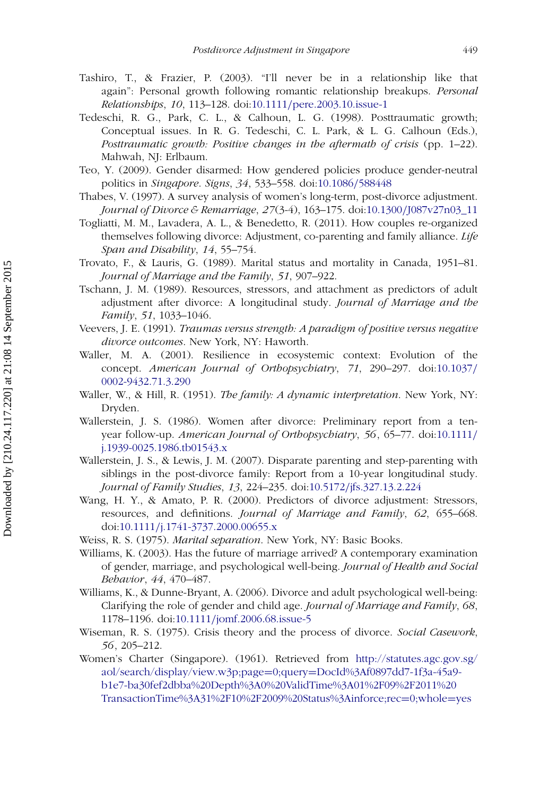- <span id="page-21-6"></span>Tashiro, T., & Frazier, P. (2003). "I'll never be in a relationship like that again": Personal growth following romantic relationship breakups. *Personal Relationships*, *10*, 113–128. doi:10.1111*/*[pere.2003.10.issue-1](http://dx.doi.org/10.1111\gdef yes{no}$/$\gdef \ {$/$}\gdef no{no}\gdef yes{yes}\gdef \ \gdef \ {\ }\gdef no{no}\gdef yes{yes}{$/$\gdef \ {$/$}\gdef no{no}\gdef yes{yes}}pere.2003.10.issue-1)
- <span id="page-21-7"></span>Tedeschi, R. G., Park, C. L., & Calhoun, L. G. (1998). Posttraumatic growth; Conceptual issues. In R. G. Tedeschi, C. L. Park, & L. G. Calhoun (Eds.), *Posttraumatic growth: Positive changes in the aftermath of crisis* (pp. 1–22). Mahwah, NJ: Erlbaum.
- <span id="page-21-2"></span>Teo, Y. (2009). Gender disarmed: How gendered policies produce gender-neutral politics in *Singapore*. *Signs*, *34*, 533–558. doi[:10.1086](http://dx.doi.org/10.1086\gdef yes{no}$/$\gdef \ {$/$}\gdef no{no}\gdef yes{yes}\gdef \ \gdef \ {\ }\gdef no{no}\gdef yes{yes}{$/$\gdef \ {$/$}\gdef no{no}\gdef yes{yes}}588448)*/*588448
- <span id="page-21-8"></span>Thabes, V. (1997). A survey analysis of women's long-term, post-divorce adjustment. *Journal of Divorce & Remarriage*, *27*(3-4), 163–175. doi:10.1300*/*[J087v27n03\\_11](http://dx.doi.org/10.1300\gdef yes{no}$/$\gdef \ {$/$}\gdef no{no}\gdef yes{yes}\gdef \ \gdef \ {\ }\gdef no{no}\gdef yes{yes}{$/$\gdef \ {$/$}\gdef no{no}\gdef yes{yes}}J087v27n03\gdef yes{no}_\gdef \ {_}\gdef no{no}\gdef yes{yes}\gdef \ \gdef \ {\ }\gdef no{no}\gdef yes{yes}{_\gdef \ {_}\gdef no{no}\gdef yes{yes}}11)
- <span id="page-21-0"></span>Togliatti, M. M., Lavadera, A. L., & Benedetto, R. (2011). How couples re-organized themselves following divorce: Adjustment, co-parenting and family alliance. *Life Span and Disability*, *14*, 55–754.
- <span id="page-21-4"></span>Trovato, F., & Lauris, G. (1989). Marital status and mortality in Canada, 1951–81. *Journal of Marriage and the Family*, *51*, 907–922.
- <span id="page-21-3"></span>Tschann, J. M. (1989). Resources, stressors, and attachment as predictors of adult adjustment after divorce: A longitudinal study. *Journal of Marriage and the Family*, *51*, 1033–1046.
- <span id="page-21-5"></span>Veevers, J. E. (1991). *Traumas versus strength: A paradigm of positive versus negative divorce outcomes*. New York, NY: Haworth.
- <span id="page-21-16"></span>Waller, M. A. (2001). Resilience in ecosystemic context: Evolution of the concept. *American Journal of Orthopsychiatry*, *71*, 290–297. doi:10.1037*/* 0002-9432.71.3.290
- <span id="page-21-13"></span>Waller, W., & Hill, R. (1951). *The family: A dynamic interpretation*. New York, NY: Dryden.
- <span id="page-21-9"></span>Wallerstein, J. S. (1986). Women after divorce: Preliminary report from a tenyear follow-up. *American Journal of Orthopsychiatry*, *56*, 65–77. doi:10.1111*/* j.1939-0025.1986.tb01543.x
- <span id="page-21-1"></span>Wallerstein, J. S., & Lewis, J. M. (2007). Disparate parenting and step-parenting with siblings in the post-divorce family: Report from a 10-year longitudinal study. *Journal of Family Studies*, *13*, 224–235. doi:10.5172*/*[jfs.327.13.2.224](http://dx.doi.org/10.5172\gdef yes{no}$/$\gdef \ {$/$}\gdef no{no}\gdef yes{yes}\gdef \ \gdef \ {\ }\gdef no{no}\gdef yes{yes}{$/$\gdef \ {$/$}\gdef no{no}\gdef yes{yes}}jfs.327.13.2.224)
- <span id="page-21-17"></span>Wang, H. Y., & Amato, P. R. (2000). Predictors of divorce adjustment: Stressors, resources, and definitions. *Journal of Marriage and Family*, *62*, 655–668. doi:10.1111*/*[j.1741-3737.2000.00655.x](http://dx.doi.org/10.1111\gdef yes{no}$/$\gdef \ {$/$}\gdef no{no}\gdef yes{yes}\gdef \ \gdef \ {\ }\gdef no{no}\gdef yes{yes}{$/$\gdef \ {$/$}\gdef no{no}\gdef yes{yes}}\gdef yes{no}\penalty \z@ \gdef \ {\penalty \z@ }\gdef no{no}\gdef yes{yes}\gdef \ \gdef \ {\ }\gdef no{no}\gdef yes{yes}{\penalty \z@ \gdef \ {\penalty \z@ }\gdef no{no}\gdef yes{yes}}j.1741-3737.2000.00655.x)
- <span id="page-21-10"></span>Weiss, R. S. (1975). *Marital separation*. New York, NY: Basic Books.
- <span id="page-21-12"></span>Williams, K. (2003). Has the future of marriage arrived? A contemporary examination of gender, marriage, and psychological well-being. *Journal of Health and Social Behavior*, *44*, 470–487.
- <span id="page-21-11"></span>Williams, K., & Dunne-Bryant, A. (2006). Divorce and adult psychological well-being: Clarifying the role of gender and child age. *Journal of Marriage and Family*, *68*, 1178–1196. doi:10.1111*/*[jomf.2006.68.issue-5](http://dx.doi.org/10.1111\gdef yes{no}$/$\gdef \ {$/$}\gdef no{no}\gdef yes{yes}\gdef \ \gdef \ {\ }\gdef no{no}\gdef yes{yes}{$/$\gdef \ {$/$}\gdef no{no}\gdef yes{yes}}jomf.2006.68.issue-5)
- <span id="page-21-14"></span>Wiseman, R. S. (1975). Crisis theory and the process of divorce. *Social Casework*, *56*, 205–212.
- <span id="page-21-15"></span>Women's Charter (Singapore). (1961). Retrieved from [http://statutes.agc.gov.sg/](http://statutes.agc.gov.sg/aol/search/display/view.w3p;page=0;query=DocId%3Af0897dd7-1f3a-45a9-b1e7-ba30fef2dbba%20Depth%3A0%20ValidTime%3A01%2F09%2F2011%20TransactionTime%3A31%2F10%2F2009%20Status%3Ainforce;rec=0;whole=yes) [aol/search/display/view.w3p;page](http://statutes.agc.gov.sg/aol/search/display/view.w3p;page=0;query=DocId%3Af0897dd7-1f3a-45a9-b1e7-ba30fef2dbba%20Depth%3A0%20ValidTime%3A01%2F09%2F2011%20TransactionTime%3A31%2F10%2F2009%20Status%3Ainforce;rec=0;whole=yes)=0;query=DocId%3Af0897dd7-1f3a-45a9 [b1e7-ba30fef2dbba%20Depth%3A0%20ValidTime%3A01%2F09%2F2011%20](http://statutes.agc.gov.sg/aol/search/display/view.w3p;page=0;query=DocId%3Af0897dd7-1f3a-45a9-b1e7-ba30fef2dbba%20Depth%3A0%20ValidTime%3A01%2F09%2F2011%20TransactionTime%3A31%2F10%2F2009%20Status%3Ainforce;rec=0;whole=yes) [TransactionTime%3A31%2F10%2F2009%20Status%3Ainforce;rec](http://statutes.agc.gov.sg/aol/search/display/view.w3p;page=0;query=DocId%3Af0897dd7-1f3a-45a9-b1e7-ba30fef2dbba%20Depth%3A0%20ValidTime%3A01%2F09%2F2011%20TransactionTime%3A31%2F10%2F2009%20Status%3Ainforce;rec=0;whole=yes)=0;whole=yes